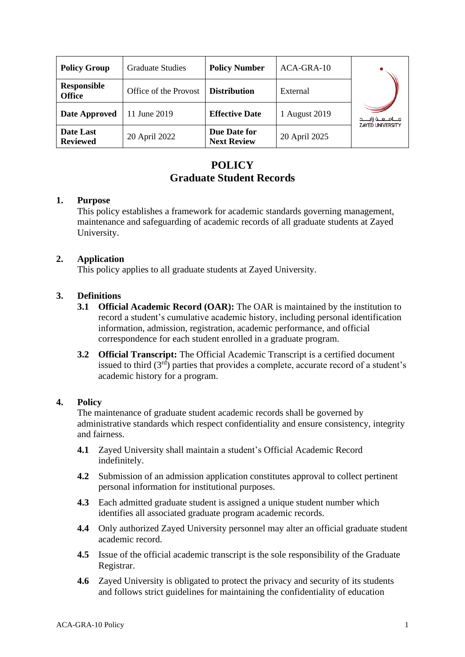| <b>Policy Group</b>                 | <b>Graduate Studies</b> | <b>Policy Number</b>               | ACA-GRA-10    |                                                  |
|-------------------------------------|-------------------------|------------------------------------|---------------|--------------------------------------------------|
| <b>Responsible</b><br><b>Office</b> | Office of the Provost   | <b>Distribution</b>                | External      |                                                  |
| Date Approved                       | 11 June 2019            | <b>Effective Date</b>              | 1 August 2019 | مـــامــــه زايـــــد<br><b>ZAYED UNIVERSITY</b> |
| Date Last<br><b>Reviewed</b>        | 20 April 2022           | Due Date for<br><b>Next Review</b> | 20 April 2025 |                                                  |

# **POLICY Graduate Student Records**

#### **1. Purpose**

This policy establishes a framework for academic standards governing management, maintenance and safeguarding of academic records of all graduate students at Zayed University.

### **2. Application**

This policy applies to all graduate students at Zayed University.

### **3. Definitions**

- **3.1 Official Academic Record (OAR):** The OAR is maintained by the institution to record a student's cumulative academic history, including personal identification information, admission, registration, academic performance, and official correspondence for each student enrolled in a graduate program.
- **3.2 Official Transcript:** The Official Academic Transcript is a certified document issued to third  $(3<sup>rd</sup>)$  parties that provides a complete, accurate record of a student's academic history for a program.

### **4. Policy**

The maintenance of graduate student academic records shall be governed by administrative standards which respect confidentiality and ensure consistency, integrity and fairness.

- **4.1** Zayed University shall maintain a student's Official Academic Record indefinitely.
- **4.2** Submission of an admission application constitutes approval to collect pertinent personal information for institutional purposes.
- **4.3** Each admitted graduate student is assigned a unique student number which identifies all associated graduate program academic records.
- **4.4** Only authorized Zayed University personnel may alter an official graduate student academic record.
- **4.5** Issue of the official academic transcript is the sole responsibility of the Graduate Registrar.
- **4.6** Zayed University is obligated to protect the privacy and security of its students and follows strict guidelines for maintaining the confidentiality of education